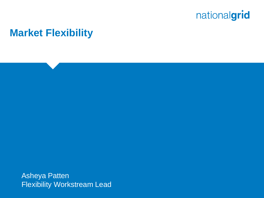

### **Market Flexibility**

Asheya Patten Flexibility Workstream Lead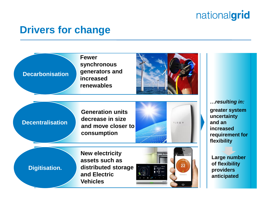#### **Drivers for change**

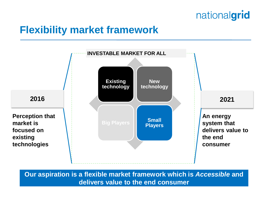### **Flexibility market framework**



**Our aspiration is a flexible market framework which is** *Accessible* **and delivers value to the end consumer**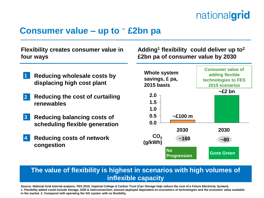#### **Consumer value – up to <sup>~</sup> £2bn pa**

**Flexibility creates consumer value in four ways**

- **1. Reducing wholesale costs by displacing high cost plant 1**
- **2. Reducing the cost of curtailing renewables 2**
- **3. Reducing balancing costs of scheduling flexible generation 3**
- **4. Reducing costs of network congestion 4**

**Adding<sup>1</sup> flexibility could deliver up to<sup>2</sup> £2bn pa of consumer value by 2030**



#### **The value of flexibility is highest in scenarios with high volumes of inflexible capacity**

**Source: National Grid internal analysis, FES 2015, Imperial College & Carbon Trust (***Can Storage help reduce the cost of a Future Electricity System***). 1. Flexibility added could include storage, DSR & interconnection; amount deployed dependent on economics of technologies and the economic value available in the market. 2. Compared with operating the GG system with no flexibility.**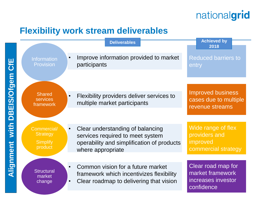#### **Flexibility work stream deliverables**

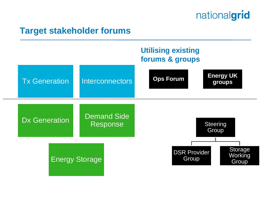#### **Target stakeholder forums**

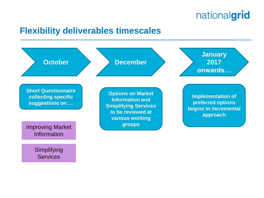#### **Flexibility deliverables timescales**